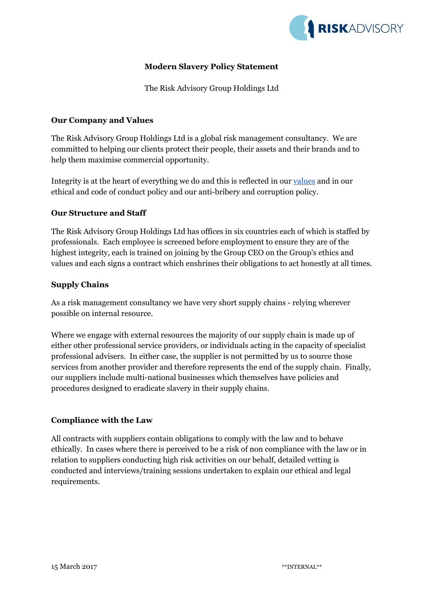

## **Modern Slavery Policy Statement**

The Risk Advisory Group Holdings Ltd

#### **Our Company and Values**

The Risk Advisory Group Holdings Ltd is a global risk management consultancy. We are committed to helping our clients protect their people, their assets and their brands and to help them maximise commercial opportunity.

Integrity is at the heart of everything we do and this is reflected in our [values](https://www.riskadvisory.com/who-we-are/our-values/) and in our ethical and code of conduct policy and our anti-bribery and corruption policy.

#### **Our Structure and Staff**

The Risk Advisory Group Holdings Ltd has offices in six countries each of which is staffed by professionals. Each employee is screened before employment to ensure they are of the highest integrity, each is trained on joining by the Group CEO on the Group's ethics and values and each signs a contract which enshrines their obligations to act honestly at all times.

#### **Supply Chains**

As a risk management consultancy we have very short supply chains - relying wherever possible on internal resource.

Where we engage with external resources the majority of our supply chain is made up of either other professional service providers, or individuals acting in the capacity of specialist professional advisers. In either case, the supplier is not permitted by us to source those services from another provider and therefore represents the end of the supply chain. Finally, our suppliers include multi-national businesses which themselves have policies and procedures designed to eradicate slavery in their supply chains.

### **Compliance with the Law**

All contracts with suppliers contain obligations to comply with the law and to behave ethically. In cases where there is perceived to be a risk of non compliance with the law or in relation to suppliers conducting high risk activities on our behalf, detailed vetting is conducted and interviews/training sessions undertaken to explain our ethical and legal requirements.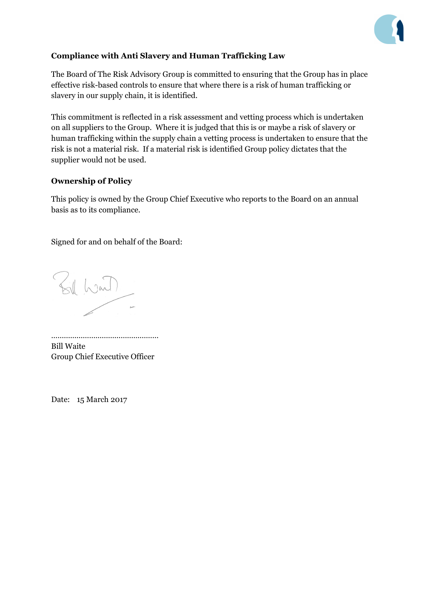

# **Compliance with Anti Slavery and Human Trafficking Law**

The Board of The Risk Advisory Group is committed to ensuring that the Group has in place effective risk-based controls to ensure that where there is a risk of human trafficking or slavery in our supply chain, it is identified.

This commitment is reflected in a risk assessment and vetting process which is undertaken on all suppliers to the Group. Where it is judged that this is or maybe a risk of slavery or human trafficking within the supply chain a vetting process is undertaken to ensure that the risk is not a material risk. If a material risk is identified Group policy dictates that the supplier would not be used.

#### **Ownership of Policy**

This policy is owned by the Group Chief Executive who reports to the Board on an annual basis as to its compliance.

Signed for and on behalf of the Board:

Bill Want

…………………………………………… Bill Waite Group Chief Executive Officer

Date: 15 March 2017